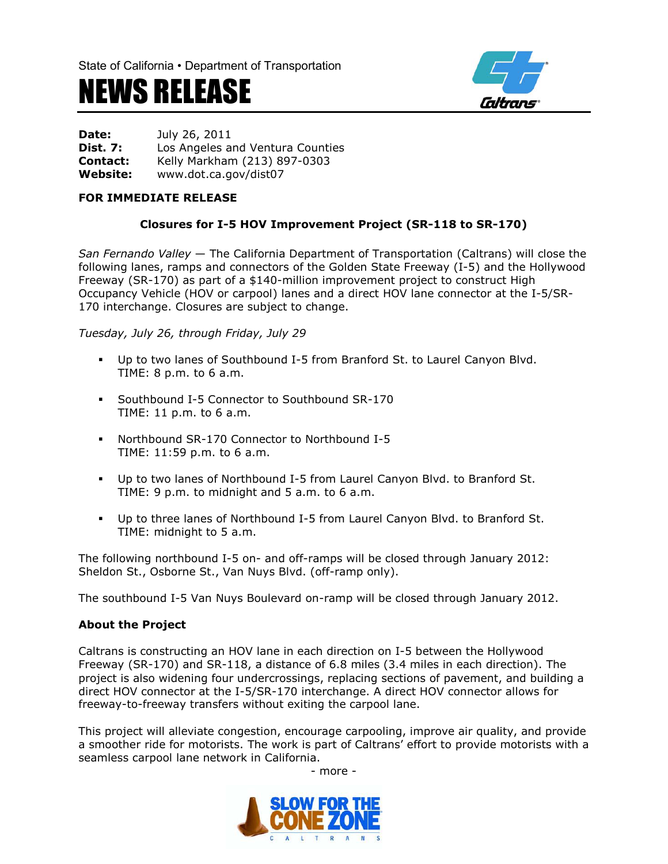## NEWS RELEASE



**Date:** July 26, 2011 **Dist. 7:** Los Angeles and Ventura Counties **Contact:** Kelly Markham (213) 897-0303 **Website:** www.dot.ca.gov/dist07

## **FOR IMMEDIATE RELEASE**

## **Closures for I-5 HOV Improvement Project (SR-118 to SR-170)**

*San Fernando Valley* — The California Department of Transportation (Caltrans) will close the following lanes, ramps and connectors of the Golden State Freeway (I-5) and the Hollywood Freeway (SR-170) as part of a \$140-million improvement project to construct High Occupancy Vehicle (HOV or carpool) lanes and a direct HOV lane connector at the I-5/SR-170 interchange. Closures are subject to change.

*Tuesday, July 26, through Friday, July 29*

- Up to two lanes of Southbound I-5 from Branford St. to Laurel Canyon Blvd. TIME: 8 p.m. to 6 a.m.
- Southbound I-5 Connector to Southbound SR-170 TIME: 11 p.m. to 6 a.m.
- Northbound SR-170 Connector to Northbound I-5 TIME: 11:59 p.m. to 6 a.m.
- Up to two lanes of Northbound I-5 from Laurel Canyon Blvd. to Branford St. TIME: 9 p.m. to midnight and 5 a.m. to 6 a.m.
- Up to three lanes of Northbound I-5 from Laurel Canyon Blvd. to Branford St. TIME: midnight to 5 a.m.

The following northbound I-5 on- and off-ramps will be closed through January 2012: Sheldon St., Osborne St., Van Nuys Blvd. (off-ramp only).

The southbound I-5 Van Nuys Boulevard on-ramp will be closed through January 2012.

## **About the Project**

Caltrans is constructing an HOV lane in each direction on I-5 between the Hollywood Freeway (SR-170) and SR-118, a distance of 6.8 miles (3.4 miles in each direction). The project is also widening four undercrossings, replacing sections of pavement, and building a direct HOV connector at the I-5/SR-170 interchange. A direct HOV connector allows for freeway-to-freeway transfers without exiting the carpool lane.

This project will alleviate congestion, encourage carpooling, improve air quality, and provide a smoother ride for motorists. The work is part of Caltrans' effort to provide motorists with a seamless carpool lane network in California.

- more -